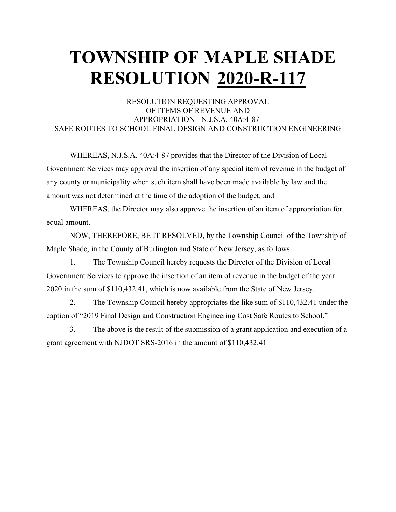#### RESOLUTION REQUESTING APPROVAL OF ITEMS OF REVENUE AND APPROPRIATION - N.J.S.A. 40A:4-87- SAFE ROUTES TO SCHOOL FINAL DESIGN AND CONSTRUCTION ENGINEERING

WHEREAS, N.J.S.A. 40A:4-87 provides that the Director of the Division of Local Government Services may approval the insertion of any special item of revenue in the budget of any county or municipality when such item shall have been made available by law and the amount was not determined at the time of the adoption of the budget; and

WHEREAS, the Director may also approve the insertion of an item of appropriation for equal amount.

NOW, THEREFORE, BE IT RESOLVED, by the Township Council of the Township of Maple Shade, in the County of Burlington and State of New Jersey, as follows:

1. The Township Council hereby requests the Director of the Division of Local Government Services to approve the insertion of an item of revenue in the budget of the year 2020 in the sum of \$110,432.41, which is now available from the State of New Jersey.

2. The Township Council hereby appropriates the like sum of \$110,432.41 under the caption of "2019 Final Design and Construction Engineering Cost Safe Routes to School."

3. The above is the result of the submission of a grant application and execution of a grant agreement with NJDOT SRS-2016 in the amount of \$110,432.41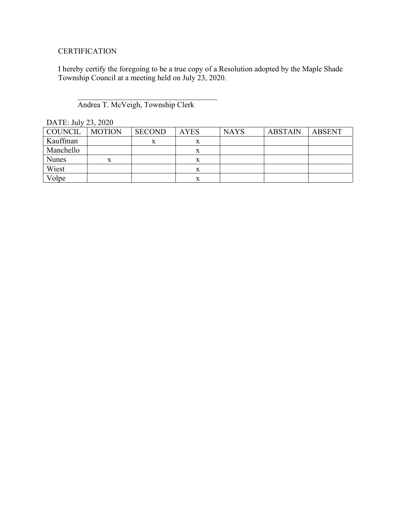#### **CERTIFICATION**

I hereby certify the foregoing to be a true copy of a Resolution adopted by the Maple Shade Township Council at a meeting held on July 23, 2020.

#### Andrea T. McVeigh, Township Clerk

 $\overline{\mathcal{L}}$ 

| $L$ $\cap$ $L$ $L$ . $J$ $U$ $I$ $V$ $L$ $J$ , $L$ $V$ $L$ $V$ |               |               |             |             |                |               |  |  |
|----------------------------------------------------------------|---------------|---------------|-------------|-------------|----------------|---------------|--|--|
| COUNCIL                                                        | <b>MOTION</b> | <b>SECOND</b> | <b>AYES</b> | <b>NAYS</b> | <b>ABSTAIN</b> | <b>ABSENT</b> |  |  |
| Kauffman                                                       |               | X             | x           |             |                |               |  |  |
| Manchello                                                      |               |               | х           |             |                |               |  |  |
| <b>Nunes</b>                                                   | x             |               | x           |             |                |               |  |  |
| Wiest                                                          |               |               |             |             |                |               |  |  |
| Volpe                                                          |               |               | x           |             |                |               |  |  |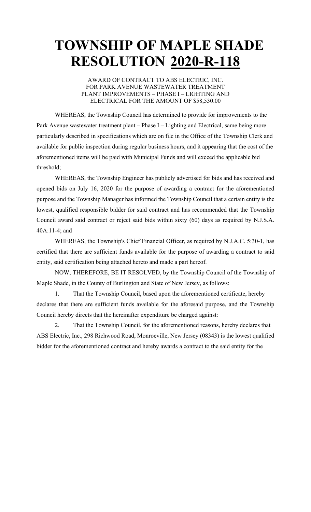#### AWARD OF CONTRACT TO ABS ELECTRIC, INC. FOR PARK AVENUE WASTEWATER TREATMENT PLANT IMPROVEMENTS – PHASE I – LIGHTING AND ELECTRICAL FOR THE AMOUNT OF \$58,530.00

WHEREAS, the Township Council has determined to provide for improvements to the Park Avenue wastewater treatment plant – Phase I – Lighting and Electrical, same being more particularly described in specifications which are on file in the Office of the Township Clerk and available for public inspection during regular business hours, and it appearing that the cost of the aforementioned items will be paid with Municipal Funds and will exceed the applicable bid threshold;

WHEREAS, the Township Engineer has publicly advertised for bids and has received and opened bids on July 16, 2020 for the purpose of awarding a contract for the aforementioned purpose and the Township Manager has informed the Township Council that a certain entity is the lowest, qualified responsible bidder for said contract and has recommended that the Township Council award said contract or reject said bids within sixty (60) days as required by N.J.S.A. 40A:11-4; and

WHEREAS, the Township's Chief Financial Officer, as required by N.J.A.C. 5:30-1, has certified that there are sufficient funds available for the purpose of awarding a contract to said entity, said certification being attached hereto and made a part hereof.

NOW, THEREFORE, BE IT RESOLVED, by the Township Council of the Township of Maple Shade, in the County of Burlington and State of New Jersey, as follows:

1. That the Township Council, based upon the aforementioned certificate, hereby declares that there are sufficient funds available for the aforesaid purpose, and the Township Council hereby directs that the hereinafter expenditure be charged against:

2. That the Township Council, for the aforementioned reasons, hereby declares that ABS Electric, Inc., 298 Richwood Road, Monroeville, New Jersey (08343) is the lowest qualified bidder for the aforementioned contract and hereby awards a contract to the said entity for the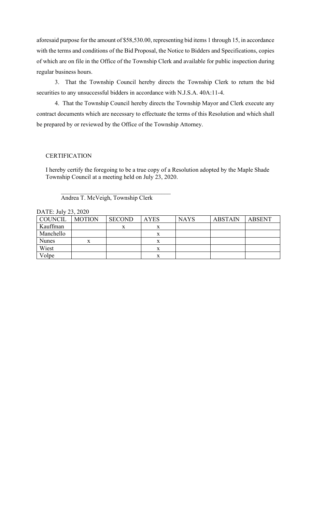aforesaid purpose for the amount of \$58,530.00, representing bid items 1 through 15, in accordance with the terms and conditions of the Bid Proposal, the Notice to Bidders and Specifications, copies of which are on file in the Office of the Township Clerk and available for public inspection during regular business hours.

3. That the Township Council hereby directs the Township Clerk to return the bid securities to any unsuccessful bidders in accordance with N.J.S.A. 40A:11-4.

4. That the Township Council hereby directs the Township Mayor and Clerk execute any contract documents which are necessary to effectuate the terms of this Resolution and which shall be prepared by or reviewed by the Office of the Township Attorney.

#### **CERTIFICATION**

I hereby certify the foregoing to be a true copy of a Resolution adopted by the Maple Shade Township Council at a meeting held on July 23, 2020.

Andrea T. McVeigh, Township Clerk

 $\overline{\mathcal{L}}$ 

| $L/L1L$ , $JUYLJ$ , $LUZU$ |               |               |             |             |                |               |  |
|----------------------------|---------------|---------------|-------------|-------------|----------------|---------------|--|
| COUNCIL                    | <b>MOTION</b> | <b>SECOND</b> | <b>AYES</b> | <b>NAYS</b> | <b>ABSTAIN</b> | <b>ABSENT</b> |  |
| Kauffman                   |               | x             |             |             |                |               |  |
| Manchello                  |               |               |             |             |                |               |  |
| <b>Nunes</b>               | x             |               |             |             |                |               |  |
| Wiest                      |               |               |             |             |                |               |  |
| Volpe                      |               |               |             |             |                |               |  |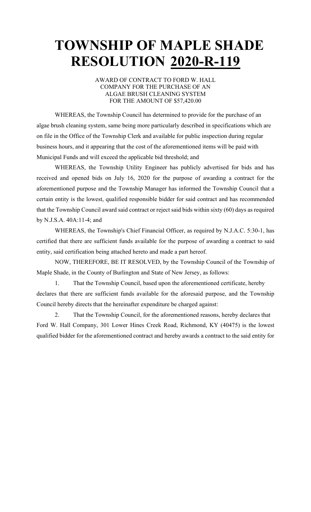#### AWARD OF CONTRACT TO FORD W. HALL COMPANY FOR THE PURCHASE OF AN ALGAE BRUSH CLEANING SYSTEM FOR THE AMOUNT OF \$57,420.00

WHEREAS, the Township Council has determined to provide for the purchase of an algae brush cleaning system, same being more particularly described in specifications which are on file in the Office of the Township Clerk and available for public inspection during regular business hours, and it appearing that the cost of the aforementioned items will be paid with Municipal Funds and will exceed the applicable bid threshold; and

WHEREAS, the Township Utility Engineer has publicly advertised for bids and has received and opened bids on July 16, 2020 for the purpose of awarding a contract for the aforementioned purpose and the Township Manager has informed the Township Council that a certain entity is the lowest, qualified responsible bidder for said contract and has recommended that the Township Council award said contract or reject said bids within sixty (60) days as required by N.J.S.A. 40A:11-4; and

WHEREAS, the Township's Chief Financial Officer, as required by N.J.A.C. 5:30-1, has certified that there are sufficient funds available for the purpose of awarding a contract to said entity, said certification being attached hereto and made a part hereof.

NOW, THEREFORE, BE IT RESOLVED, by the Township Council of the Township of Maple Shade, in the County of Burlington and State of New Jersey, as follows:

1. That the Township Council, based upon the aforementioned certificate, hereby declares that there are sufficient funds available for the aforesaid purpose, and the Township Council hereby directs that the hereinafter expenditure be charged against:

2. That the Township Council, for the aforementioned reasons, hereby declares that Ford W. Hall Company, 301 Lower Hines Creek Road, Richmond, KY (40475) is the lowest qualified bidder for the aforementioned contract and hereby awards a contract to the said entity for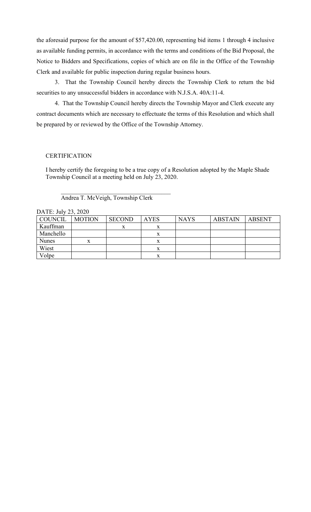the aforesaid purpose for the amount of \$57,420.00, representing bid items 1 through 4 inclusive as available funding permits, in accordance with the terms and conditions of the Bid Proposal, the Notice to Bidders and Specifications, copies of which are on file in the Office of the Township Clerk and available for public inspection during regular business hours.

3. That the Township Council hereby directs the Township Clerk to return the bid securities to any unsuccessful bidders in accordance with N.J.S.A. 40A:11-4.

4. That the Township Council hereby directs the Township Mayor and Clerk execute any contract documents which are necessary to effectuate the terms of this Resolution and which shall be prepared by or reviewed by the Office of the Township Attorney.

#### **CERTIFICATION**

I hereby certify the foregoing to be a true copy of a Resolution adopted by the Maple Shade Township Council at a meeting held on July 23, 2020.

Andrea T. McVeigh, Township Clerk

 $\overline{\mathcal{L}}$ 

| DATE, $JUY \sim J$ , $2020$ |               |               |             |             |                |               |  |  |
|-----------------------------|---------------|---------------|-------------|-------------|----------------|---------------|--|--|
| <b>COUNCIL</b>              | <b>MOTION</b> | <b>SECOND</b> | <b>AYES</b> | <b>NAYS</b> | <b>ABSTAIN</b> | <b>ABSENT</b> |  |  |
| Kauffman                    |               | X             | х           |             |                |               |  |  |
| Manchello                   |               |               |             |             |                |               |  |  |
| <b>Nunes</b>                | X             |               |             |             |                |               |  |  |
| Wiest                       |               |               |             |             |                |               |  |  |
| Volpe                       |               |               |             |             |                |               |  |  |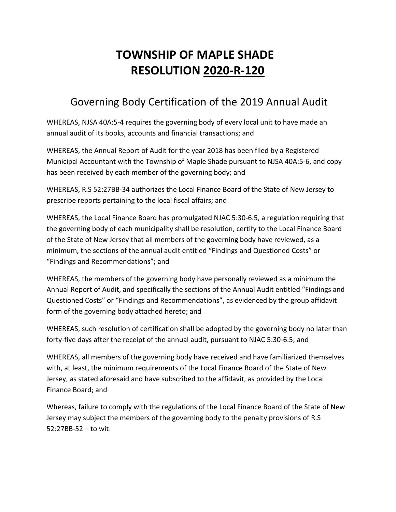### Governing Body Certification of the 2019 Annual Audit

WHEREAS, NJSA 40A:5-4 requires the governing body of every local unit to have made an annual audit of its books, accounts and financial transactions; and

WHEREAS, the Annual Report of Audit for the year 2018 has been filed by a Registered Municipal Accountant with the Township of Maple Shade pursuant to NJSA 40A:5-6, and copy has been received by each member of the governing body; and

WHEREAS, R.S 52:27BB-34 authorizes the Local Finance Board of the State of New Jersey to prescribe reports pertaining to the local fiscal affairs; and

WHEREAS, the Local Finance Board has promulgated NJAC 5:30-6.5, a regulation requiring that the governing body of each municipality shall be resolution, certify to the Local Finance Board of the State of New Jersey that all members of the governing body have reviewed, as a minimum, the sections of the annual audit entitled "Findings and Questioned Costs" or "Findings and Recommendations"; and

WHEREAS, the members of the governing body have personally reviewed as a minimum the Annual Report of Audit, and specifically the sections of the Annual Audit entitled "Findings and Questioned Costs" or "Findings and Recommendations", as evidenced by the group affidavit form of the governing body attached hereto; and

WHEREAS, such resolution of certification shall be adopted by the governing body no later than forty-five days after the receipt of the annual audit, pursuant to NJAC 5:30-6.5; and

WHEREAS, all members of the governing body have received and have familiarized themselves with, at least, the minimum requirements of the Local Finance Board of the State of New Jersey, as stated aforesaid and have subscribed to the affidavit, as provided by the Local Finance Board; and

Whereas, failure to comply with the regulations of the Local Finance Board of the State of New Jersey may subject the members of the governing body to the penalty provisions of R.S 52:27BB-52 – to wit: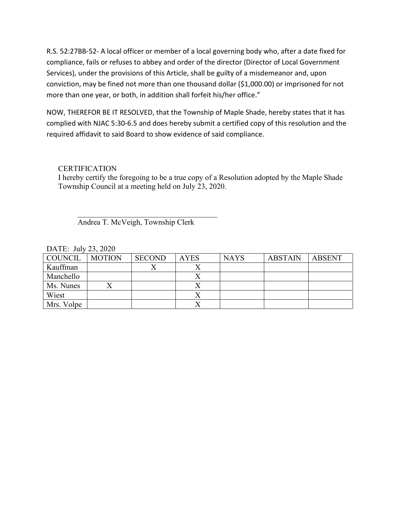R.S. 52:27BB-52- A local officer or member of a local governing body who, after a date fixed for compliance, fails or refuses to abbey and order of the director (Director of Local Government Services), under the provisions of this Article, shall be guilty of a misdemeanor and, upon conviction, may be fined not more than one thousand dollar (\$1,000.00) or imprisoned for not more than one year, or both, in addition shall forfeit his/her office."

NOW, THEREFOR BE IT RESOLVED, that the Township of Maple Shade, hereby states that it has complied with NJAC 5:30-6.5 and does hereby submit a certified copy of this resolution and the required affidavit to said Board to show evidence of said compliance.

#### **CERTIFICATION**

I hereby certify the foregoing to be a true copy of a Resolution adopted by the Maple Shade Township Council at a meeting held on July 23, 2020.

 $\overline{\mathcal{L}}$ Andrea T. McVeigh, Township Clerk

| COUNCIL    | <b>MOTION</b> | <b>SECOND</b> | <b>AYES</b> | <b>NAYS</b> | <b>ABSTAIN</b> | <b>ABSENT</b> |
|------------|---------------|---------------|-------------|-------------|----------------|---------------|
| Kauffman   |               |               |             |             |                |               |
| Manchello  |               |               |             |             |                |               |
| Ms. Nunes  |               |               |             |             |                |               |
| Wiest      |               |               |             |             |                |               |
| Mrs. Volpe |               |               |             |             |                |               |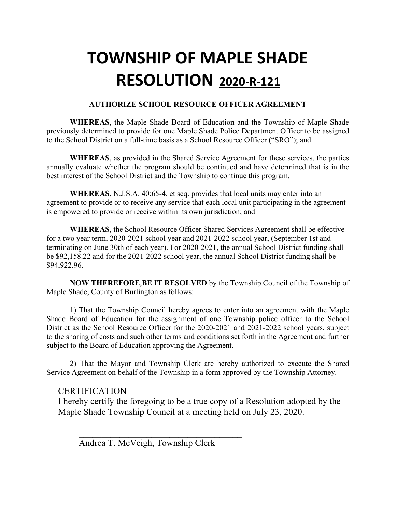#### **AUTHORIZE SCHOOL RESOURCE OFFICER AGREEMENT**

**WHEREAS**, the Maple Shade Board of Education and the Township of Maple Shade previously determined to provide for one Maple Shade Police Department Officer to be assigned to the School District on a full-time basis as a School Resource Officer ("SRO"); and

**WHEREAS**, as provided in the Shared Service Agreement for these services, the parties annually evaluate whether the program should be continued and have determined that is in the best interest of the School District and the Township to continue this program.

**WHEREAS**, N.J.S.A. 40:65-4. et seq. provides that local units may enter into an agreement to provide or to receive any service that each local unit participating in the agreement is empowered to provide or receive within its own jurisdiction; and

**WHEREAS**, the School Resource Officer Shared Services Agreement shall be effective for a two year term, 2020-2021 school year and 2021-2022 school year, (September 1st and terminating on June 30th of each year). For 2020-2021, the annual School District funding shall be \$92,158.22 and for the 2021-2022 school year, the annual School District funding shall be \$94,922.96.

**NOW THEREFORE**,**BE IT RESOLVED** by the Township Council of the Township of Maple Shade, County of Burlington as follows:

1) That the Township Council hereby agrees to enter into an agreement with the Maple Shade Board of Education for the assignment of one Township police officer to the School District as the School Resource Officer for the 2020-2021 and 2021-2022 school years, subject to the sharing of costs and such other terms and conditions set forth in the Agreement and further subject to the Board of Education approving the Agreement.

2) That the Mayor and Township Clerk are hereby authorized to execute the Shared Service Agreement on behalf of the Township in a form approved by the Township Attorney.

#### **CERTIFICATION**

I hereby certify the foregoing to be a true copy of a Resolution adopted by the Maple Shade Township Council at a meeting held on July 23, 2020.

Andrea T. McVeigh, Township Clerk

 $\overline{\phantom{a}}$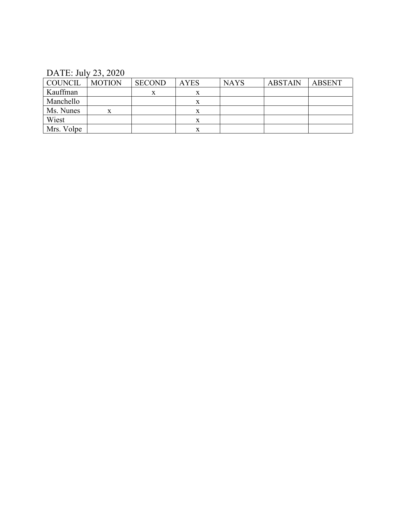DATE: July 23, 2020

| COUNCIL    | <b>MOTION</b> | <b>SECOND</b> | <b>AYES</b> | <b>NAYS</b> | <b>ABSTAIN</b> | ABSENT |
|------------|---------------|---------------|-------------|-------------|----------------|--------|
| Kauffman   |               | X             | x           |             |                |        |
| Manchello  |               |               | x           |             |                |        |
| Ms. Nunes  |               |               | x           |             |                |        |
| Wiest      |               |               |             |             |                |        |
| Mrs. Volpe |               |               |             |             |                |        |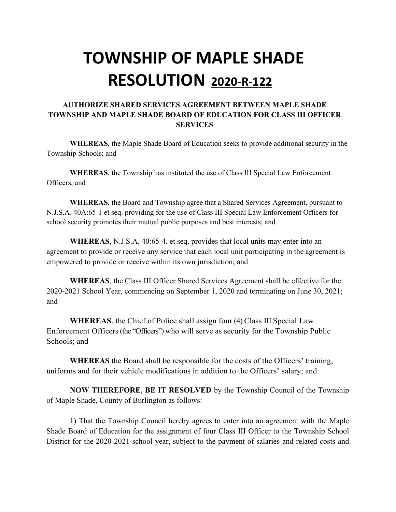#### **AUTHORIZE SHARED SERVICES AGREEMENT BETWEEN MAPLE SHADE TOWNSHIP AND MAPLE SHADE BOARD OF EDUCATION FOR CLASS III OFFICER SERVICES**

**WHEREAS**, the Maple Shade Board of Education seeks to provide additional security in the Township Schools; and

**WHEREAS**, the Township has instituted the use of Class III Special Law Enforcement Officers; and

**WHEREAS**, the Board and Township agree that a Shared Services Agreement, pursuant to N.J.S.A. 40A:65-1 et seq. providing for the use of Class III Special Law Enforcement Officers for school security promotes their mutual public purposes and best interests; and

**WHEREAS**, N.J.S.A. 40:65-4. et seq. provides that local units may enter into an agreement to provide or receive any service that each local unit participating in the agreement is empowered to provide or receive within its own jurisdiction; and

**WHEREAS**, the Class III Officer Shared Services Agreement shall be effective for the 2020-2021 School Year, commencing on September 1, 2020 and terminating on June 30, 2021; and

**WHEREAS**, the Chief of Police shall assign four (4) Class III Special Law Enforcement Officers (the "Officers") who will serve as security for the Township Public Schools; and

**WHEREAS** the Board shall be responsible for the costs of the Officers' training, uniforms and for their vehicle modifications in addition to the Officers' salary; and

**NOW THEREFORE**, **BE IT RESOLVED** by the Township Council of the Township of Maple Shade, County of Burlington as follows:

1) That the Township Council hereby agrees to enter into an agreement with the Maple Shade Board of Education for the assignment of four Class III Officer to the Township School District for the 2020-2021 school year, subject to the payment of salaries and related costs and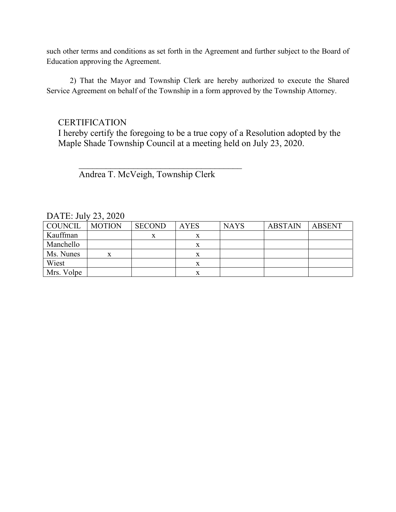such other terms and conditions as set forth in the Agreement and further subject to the Board of Education approving the Agreement.

2) That the Mayor and Township Clerk are hereby authorized to execute the Shared Service Agreement on behalf of the Township in a form approved by the Township Attorney.

#### **CERTIFICATION**

I hereby certify the foregoing to be a true copy of a Resolution adopted by the Maple Shade Township Council at a meeting held on July 23, 2020.

Andrea T. McVeigh, Township Clerk

 $\overline{\phantom{a}}$ 

| COUNCIL    | <b>MOTION</b> | <b>SECOND</b> | <b>AYES</b> | <b>NAYS</b> | <b>ABSTAIN</b> | <b>ABSENT</b> |
|------------|---------------|---------------|-------------|-------------|----------------|---------------|
| Kauffman   |               | x             |             |             |                |               |
| Manchello  |               |               |             |             |                |               |
| Ms. Nunes  |               |               |             |             |                |               |
| Wiest      |               |               |             |             |                |               |
| Mrs. Volpe |               |               |             |             |                |               |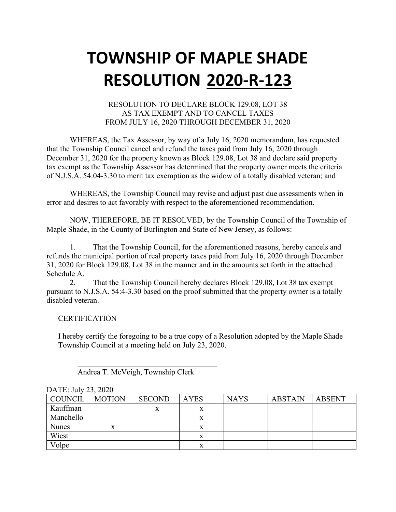#### RESOLUTION TO DECLARE BLOCK 129.08, LOT 38 AS TAX EXEMPT AND TO CANCEL TAXES FROM JULY 16, 2020 THROUGH DECEMBER 31, 2020

WHEREAS, the Tax Assessor, by way of a July 16, 2020 memorandum, has requested that the Township Council cancel and refund the taxes paid from July 16, 2020 through December 31, 2020 for the property known as Block 129.08, Lot 38 and declare said property tax exempt as the Township Assessor has determined that the property owner meets the criteria of N.J.S.A. 54:04-3.30 to merit tax exemption as the widow of a totally disabled veteran; and

WHEREAS, the Township Council may revise and adjust past due assessments when in error and desires to act favorably with respect to the aforementioned recommendation.

NOW, THEREFORE, BE IT RESOLVED, by the Township Council of the Township of Maple Shade, in the County of Burlington and State of New Jersey, as follows:

1. That the Township Council, for the aforementioned reasons, hereby cancels and refunds the municipal portion of real property taxes paid from July 16, 2020 through December 31, 2020 for Block 129.08, Lot 38 in the manner and in the amounts set forth in the attached Schedule A.

2. That the Township Council hereby declares Block 129.08, Lot 38 tax exempt pursuant to N.J.S.A. 54:4-3.30 based on the proof submitted that the property owner is a totally disabled veteran.

#### **CERTIFICATION**

I hereby certify the foregoing to be a true copy of a Resolution adopted by the Maple Shade Township Council at a meeting held on July 23, 2020.

| COUNCIL      | <b>MOTION</b> | <b>SECOND</b> | <b>AYES</b> | <b>NAYS</b> | <b>ABSTAIN</b> | <b>ABSENT</b> |
|--------------|---------------|---------------|-------------|-------------|----------------|---------------|
| Kauffman     |               | x             |             |             |                |               |
| Manchello    |               |               | x           |             |                |               |
| <b>Nunes</b> | x             |               | x           |             |                |               |
| Wiest        |               |               | x           |             |                |               |
| Volpe        |               |               | x           |             |                |               |

### DATE: July 23, 2020

 $\overline{\mathcal{L}}$ Andrea T. McVeigh, Township Clerk